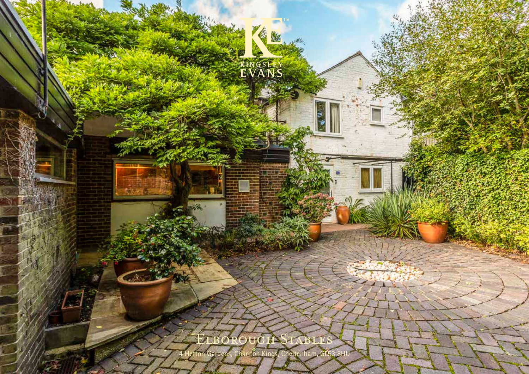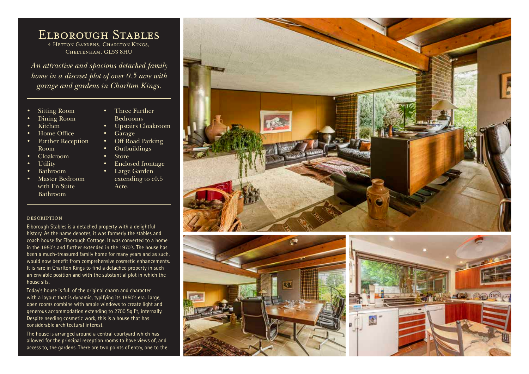## Elborough Stables 4 Hetton Gardens, Charlton Kings, Cheltenham, GL53 8HU

*An attractive and spacious detached family home in a discreet plot of over 0.5 acre with garage and gardens in Charlton Kings.*

- Sitting Room
- Dining Room
- Kitchen
- Home Office
- Further Reception Room
- Cloakroom
- **Utility**
- Bathroom
- Master Bedroom with En Suite Bathroom
- Three Further Bedrooms
- Upstairs Cloakroom
- Garage
- Off Road Parking
- Outbuildings
- Store
- Enclosed frontage
- Large Garden extending to c0.5 Acre.

## description

Elborough Stables is a detached property with a delightful history. As the name denotes, it was formerly the stables and coach house for Elborough Cottage. It was converted to a home in the 1950's and further extended in the 1970's. The house has been a much-treasured family home for many years and as such, would now benefit from comprehensive cosmetic enhancements. It is rare in Charlton Kings to find a detached property in such an enviable position and with the substantial plot in which the house sits.

Today's house is full of the original charm and character with a layout that is dynamic, typifying its 1950's era. Large, open rooms combine with ample windows to create light and generous accommodation extending to 2700 Sq Ft, internally. Despite needing cosmetic work, this is a house that has considerable architectural interest.

The house is arranged around a central courtyard which has allowed for the principal reception rooms to have views of, and access to, the gardens. There are two points of entry, one to the





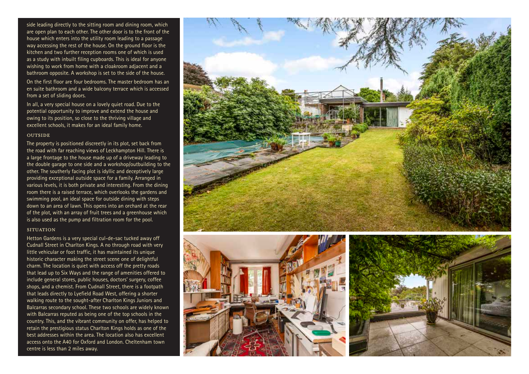side leading directly to the sitting room and dining room, which are open plan to each other. The other door is to the front of the house which enters into the utility room leading to a passage way accessing the rest of the house. On the ground floor is the kitchen and two further reception rooms one of which is used as a study with inbuilt filing cupboards. This is ideal for anyone wishing to work from home with a cloakroom adjacent and a bathroom opposite. A workshop is set to the side of the house.

On the first floor are four bedrooms. The master bedroom has an en suite bathroom and a wide balcony terrace which is accessed from a set of sliding doors.

In all, a very special house on a lovely quiet road. Due to the potential opportunity to improve and extend the house and owing to its position, so close to the thriving village and excellent schools, it makes for an ideal family home.

## **OUTSIDE**

The property is positioned discreetly in its plot, set back from the road with far reaching views of Leckhampton Hill. There is a large frontage to the house made up of a driveway leading to the double garage to one side and a workshop/outbuilding to the other. The southerly facing plot is idyllic and deceptively large providing exceptional outside space for a family. Arranged in various levels, it is both private and interesting. From the dining room there is a raised terrace, which overlooks the gardens and swimming pool, an ideal space for outside dining with steps down to an area of lawn. This opens into an orchard at the rear of the plot, with an array of fruit trees and a greenhouse which is also used as the pump and filtration room for the pool.

## **SITUATION**

Hetton Gardens is a very special cul-de-sac tucked away off Cudnall Street in Charlton Kings. A no through road with very little vehicular or foot traffic, it has maintained its unique historic character making the street scene one of delightful charm. The location is quiet with access off the pretty roads that lead up to Six Ways and the range of amenities offered to include general stores, public houses, doctors' surgery, coffee shops, and a chemist. From Cudnall Street, there is a footpath that leads directly to Lyefield Road West, offering a shorter walking route to the sought-after Charlton Kings Juniors and Balcarras secondary school. These two schools are widely known with Balcarras reputed as being one of the top schools in the country. This, and the vibrant community on offer, has helped to retain the prestigious status Charlton Kings holds as one of the best addresses within the area. The location also has excellent access onto the A40 for Oxford and London. Cheltenham town centre is less than 2 miles away.